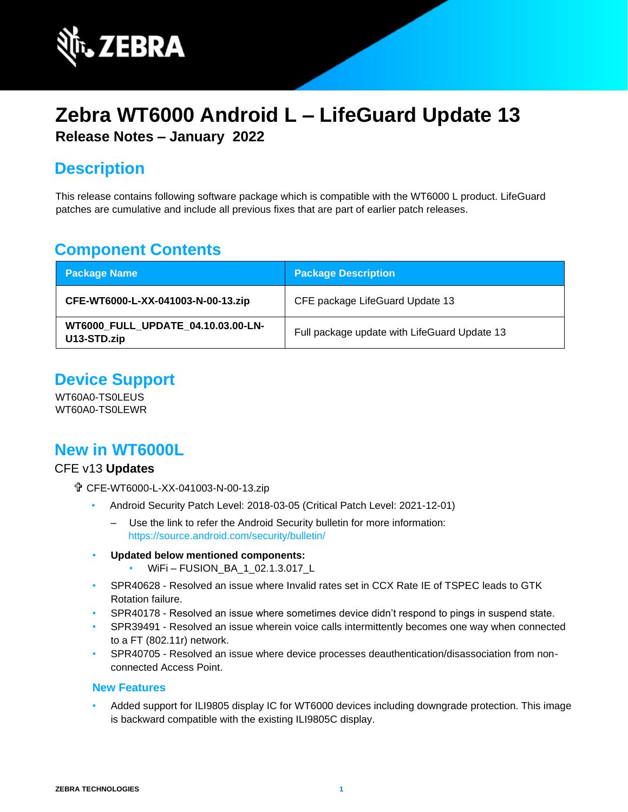

# **Zebra WT6000 Android L – LifeGuard Update 13 Release Notes – January 2022**

## **Description**

This release contains following software package which is compatible with the WT6000 L product. LifeGuard patches are cumulative and include all previous fixes that are part of earlier patch releases.

## **Component Contents**

| <b>Package Name</b>                                      | <b>Package Description</b>                   |
|----------------------------------------------------------|----------------------------------------------|
| CFE-WT6000-L-XX-041003-N-00-13.zip                       | CFE package LifeGuard Update 13              |
| <b>WT6000 FULL UPDATE 04.10.03.00-LN-</b><br>U13-STD.zip | Full package update with LifeGuard Update 13 |

## **Device Support**

WT60A0-TS0LEUS WT60A0-TS0LEWR

### **New in WT6000L**

#### CFE v13 **Updates**

- CFE-WT6000-L-XX-041003-N-00-13.zip
	- Android Security Patch Level: 2018-03-05 (Critical Patch Level: 2021-12-01)
		- ‒ Use the link to refer the Android Security bulletin for more information: <https://source.android.com/security/bulletin/>
	- **Updated below mentioned components:**
		- WiFi-FUSION\_BA\_1\_02.1.3.017\_L
	- SPR40628 Resolved an issue where Invalid rates set in CCX Rate IE of TSPEC leads to GTK Rotation failure.
	- SPR40178 Resolved an issue where sometimes device didn't respond to pings in suspend state.
	- SPR39491 Resolved an issue wherein voice calls intermittently becomes one way when connected to a FT (802.11r) network.
	- SPR40705 Resolved an issue where device processes deauthentication/disassociation from nonconnected Access Point.

#### **New Features**

• Added support for ILI9805 display IC for WT6000 devices including downgrade protection. This image is backward compatible with the existing ILI9805C display.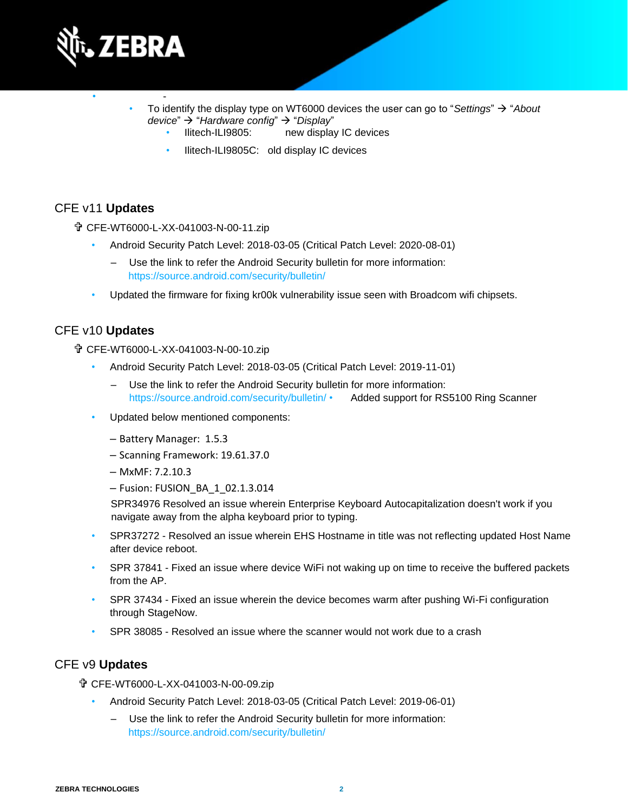

- - • To identify the display type on WT6000 devices the user can go to "*Settings*" → "*About device*" → "*Hardware config*" → "*Display*"
	- Ilitech-ILI9805: new display IC devices
	- Ilitech-ILI9805C: old display IC devices

#### CFE v11 **Updates**

CFE-WT6000-L-XX-041003-N-00-11.zip

- Android Security Patch Level: 2018-03-05 (Critical Patch Level: 2020-08-01)
	- ‒ Use the link to refer the Android Security bulletin for more information: <https://source.android.com/security/bulletin/>
- Updated the firmware for fixing kr00k vulnerability issue seen with Broadcom wifi chipsets.

#### CFE v10 **Updates**

CFE-WT6000-L-XX-041003-N-00-10.zip

- Android Security Patch Level: 2018-03-05 (Critical Patch Level: 2019-11-01)
	- Use the link to refer the Android Security bulletin for more information: <https://source.android.com/security/bulletin/> • Added support for RS5100 Ring Scanner
- Updated below mentioned components:
	- Battery Manager: 1.5.3
	- ‒ Scanning Framework: 19.61.37.0
	- $-MxMF: 7.2.10.3$
	- ‒ Fusion: FUSION\_BA\_1\_02.1.3.014

SPR34976 Resolved an issue wherein Enterprise Keyboard Autocapitalization doesn't work if you navigate away from the alpha keyboard prior to typing.

- SPR37272 Resolved an issue wherein EHS Hostname in title was not reflecting updated Host Name after device reboot.
- SPR 37841 Fixed an issue where device WiFi not waking up on time to receive the buffered packets from the AP.
- SPR 37434 Fixed an issue wherein the device becomes warm after pushing Wi-Fi configuration through StageNow.
- SPR 38085 Resolved an issue where the scanner would not work due to a crash

#### CFE v9 **Updates**

CFE-WT6000-L-XX-041003-N-00-09.zip

- Android Security Patch Level: 2018-03-05 (Critical Patch Level: 2019-06-01)
	- ‒ Use the link to refer the Android Security bulletin for more information: <https://source.android.com/security/bulletin/>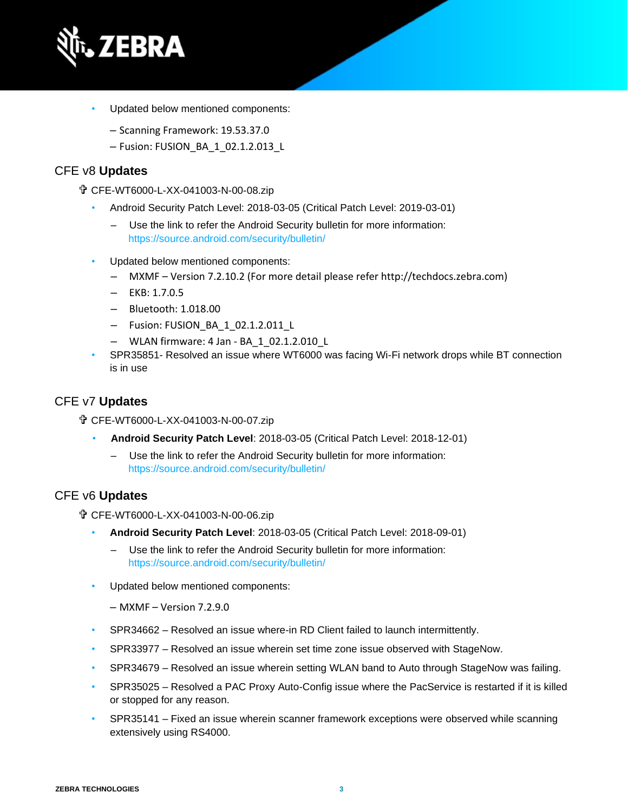

- Updated below mentioned components:
	- ‒ Scanning Framework: 19.53.37.0
	- ‒ Fusion: FUSION\_BA\_1\_02.1.2.013\_L

#### CFE v8 **Updates**

CFE-WT6000-L-XX-041003-N-00-08.zip

- Android Security Patch Level: 2018-03-05 (Critical Patch Level: 2019-03-01)
	- Use the link to refer the Android Security bulletin for more information: <https://source.android.com/security/bulletin/>
- Updated below mentioned components:
	- ‒ MXMF Version 7.2.10.2 (For more detail please refer http://techdocs.zebra.com)
	- $-$  EKB: 1.7.0.5
	- ‒ Bluetooth: 1.018.00
	- ‒ Fusion: FUSION\_BA\_1\_02.1.2.011\_L
	- ‒ WLAN firmware: 4 Jan BA\_1\_02.1.2.010\_L
- SPR35851- Resolved an issue where WT6000 was facing Wi-Fi network drops while BT connection is in use

#### CFE v7 **Updates**

- CFE-WT6000-L-XX-041003-N-00-07.zip
	- **Android Security Patch Level**: 2018-03-05 (Critical Patch Level: 2018-12-01)
		- ‒ Use the link to refer the Android Security bulletin for more information: <https://source.android.com/security/bulletin/>

#### CFE v6 **Updates**

CFE-WT6000-L-XX-041003-N-00-06.zip

- **Android Security Patch Level**: 2018-03-05 (Critical Patch Level: 2018-09-01)
	- ‒ Use the link to refer the Android Security bulletin for more information: <https://source.android.com/security/bulletin/>
- Updated below mentioned components:
	- $-$  MXMF Version 7.2.9.0
- SPR34662 Resolved an issue where-in RD Client failed to launch intermittently.
- SPR33977 Resolved an issue wherein set time zone issue observed with StageNow.
- SPR34679 Resolved an issue wherein setting WLAN band to Auto through StageNow was failing.
- SPR35025 Resolved a PAC Proxy Auto-Config issue where the PacService is restarted if it is killed or stopped for any reason.
- SPR35141 Fixed an issue wherein scanner framework exceptions were observed while scanning extensively using RS4000.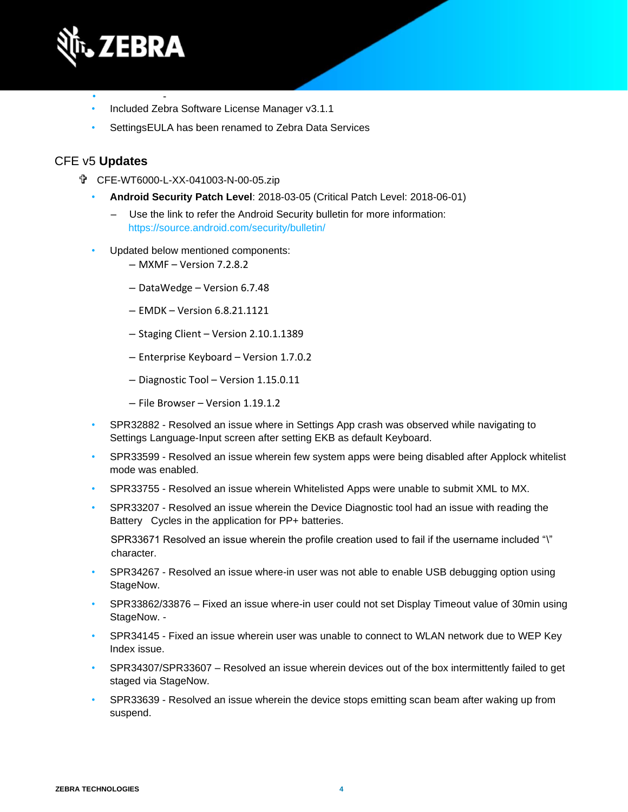

- - • Included Zebra Software License Manager v3.1.1
- SettingsEULA has been renamed to Zebra Data Services

#### CFE v5 **Updates**

- CFE-WT6000-L-XX-041003-N-00-05.zip
	- **Android Security Patch Level**: 2018-03-05 (Critical Patch Level: 2018-06-01)
		- ‒ Use the link to refer the Android Security bulletin for more information: <https://source.android.com/security/bulletin/>
	- Updated below mentioned components:
		- ‒ MXMF Version 7.2.8.2
		- ‒ DataWedge Version 6.7.48
		- ‒ EMDK Version 6.8.21.1121
		- ‒ Staging Client Version 2.10.1.1389
		- ‒ Enterprise Keyboard Version 1.7.0.2
		- Diagnostic Tool Version 1.15.0.11
		- ‒ File Browser Version 1.19.1.2
	- SPR32882 Resolved an issue where in Settings App crash was observed while navigating to Settings Language-Input screen after setting EKB as default Keyboard.
	- SPR33599 Resolved an issue wherein few system apps were being disabled after Applock whitelist mode was enabled.
	- SPR33755 Resolved an issue wherein Whitelisted Apps were unable to submit XML to MX.
	- SPR33207 Resolved an issue wherein the Device Diagnostic tool had an issue with reading the Battery Cycles in the application for PP+ batteries.

SPR33671 Resolved an issue wherein the profile creation used to fail if the username included "\" character.

- SPR34267 Resolved an issue where-in user was not able to enable USB debugging option using StageNow.
- SPR33862/33876 Fixed an issue where-in user could not set Display Timeout value of 30min using StageNow. -
- SPR34145 Fixed an issue wherein user was unable to connect to WLAN network due to WEP Key Index issue.
- SPR34307/SPR33607 Resolved an issue wherein devices out of the box intermittently failed to get staged via StageNow.
- SPR33639 Resolved an issue wherein the device stops emitting scan beam after waking up from suspend.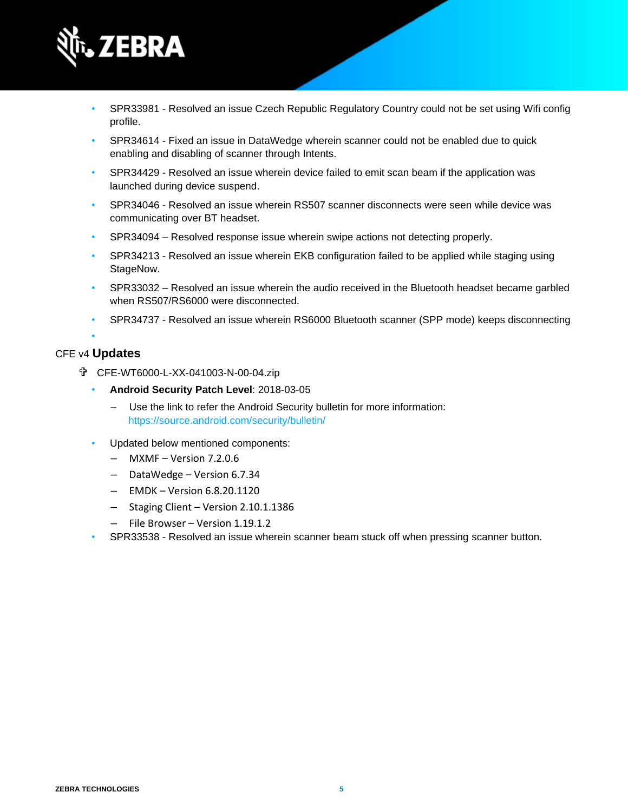

- SPR33981 Resolved an issue Czech Republic Regulatory Country could not be set using Wifi config profile.
- SPR34614 Fixed an issue in DataWedge wherein scanner could not be enabled due to quick enabling and disabling of scanner through Intents.
- SPR34429 Resolved an issue wherein device failed to emit scan beam if the application was launched during device suspend.
- SPR34046 Resolved an issue wherein RS507 scanner disconnects were seen while device was communicating over BT headset.
- SPR34094 Resolved response issue wherein swipe actions not detecting properly.
- SPR34213 Resolved an issue wherein EKB configuration failed to be applied while staging using StageNow.
- SPR33032 Resolved an issue wherein the audio received in the Bluetooth headset became garbled when RS507/RS6000 were disconnected.
- SPR34737 Resolved an issue wherein RS6000 Bluetooth scanner (SPP mode) keeps disconnecting

#### • CFE v4 **Updates**

- CFE-WT6000-L-XX-041003-N-00-04.zip
	- **Android Security Patch Level**: 2018-03-05
		- ‒ Use the link to refer the Android Security bulletin for more information: <https://source.android.com/security/bulletin/>
	- Updated below mentioned components:
		- $-$  MXMF Version 7.2.0.6
		- ‒ DataWedge Version 6.7.34
		- ‒ EMDK Version 6.8.20.1120
		- ‒ Staging Client Version 2.10.1.1386
		- ‒ File Browser Version 1.19.1.2
	- SPR33538 Resolved an issue wherein scanner beam stuck off when pressing scanner button.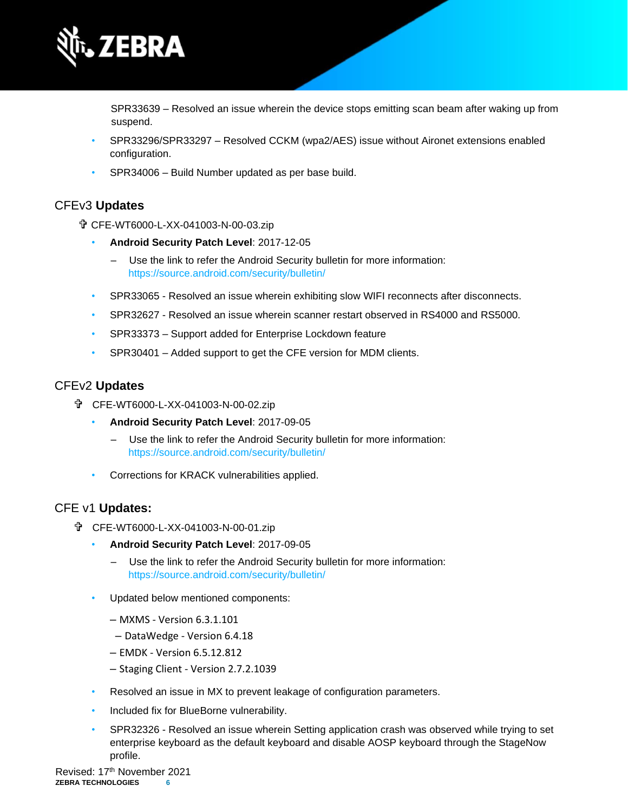

SPR33639 – Resolved an issue wherein the device stops emitting scan beam after waking up from suspend.

- SPR33296/SPR33297 Resolved CCKM (wpa2/AES) issue without Aironet extensions enabled configuration.
- SPR34006 Build Number updated as per base build.

#### CFEv3 **Updates**

CFE-WT6000-L-XX-041003-N-00-03.zip

- **Android Security Patch Level**: 2017-12-05
	- Use the link to refer the Android Security bulletin for more information: <https://source.android.com/security/bulletin/>
- SPR33065 Resolved an issue wherein exhibiting slow WIFI reconnects after disconnects.
- SPR32627 Resolved an issue wherein scanner restart observed in RS4000 and RS5000.
- SPR33373 Support added for Enterprise Lockdown feature
- SPR30401 Added support to get the CFE version for MDM clients.

#### CFEv2 **Updates**

- CFE-WT6000-L-XX-041003-N-00-02.zip
	- **Android Security Patch Level**: 2017-09-05
		- ‒ Use the link to refer the Android Security bulletin for more information: <https://source.android.com/security/bulletin/>
	- Corrections for KRACK vulnerabilities applied.

#### CFE v1 **Updates:**

- CFE-WT6000-L-XX-041003-N-00-01.zip
	- **Android Security Patch Level**: 2017-09-05
		- ‒ Use the link to refer the Android Security bulletin for more information: <https://source.android.com/security/bulletin/>
	- Updated below mentioned components:
		- ‒ MXMS Version 6.3.1.101
		- ‒ DataWedge Version 6.4.18
		- ‒ EMDK Version 6.5.12.812
		- ‒ Staging Client Version 2.7.2.1039
	- Resolved an issue in MX to prevent leakage of configuration parameters.
	- Included fix for BlueBorne vulnerability.
	- SPR32326 Resolved an issue wherein Setting application crash was observed while trying to set enterprise keyboard as the default keyboard and disable AOSP keyboard through the StageNow profile.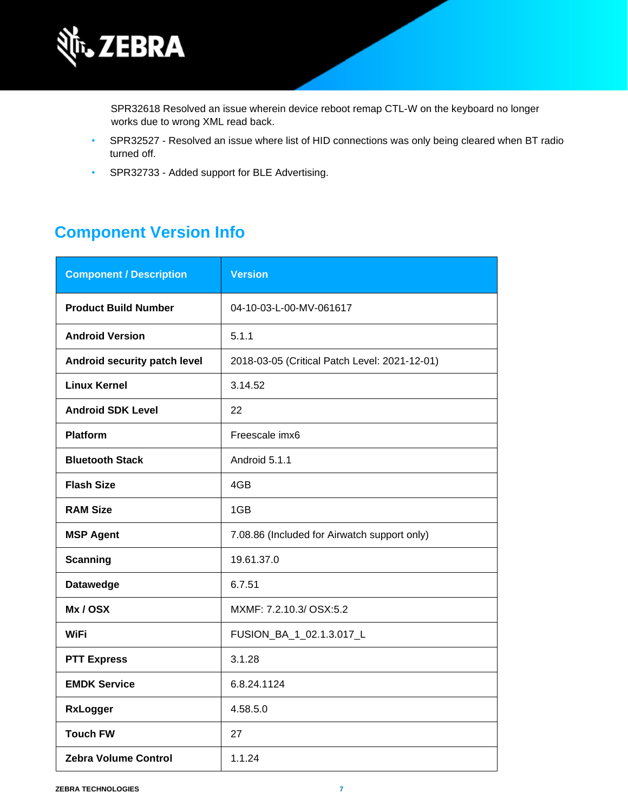

SPR32618 Resolved an issue wherein device reboot remap CTL-W on the keyboard no longer works due to wrong XML read back.

- SPR32527 Resolved an issue where list of HID connections was only being cleared when BT radio turned off.
- SPR32733 Added support for BLE Advertising.

## **Component Version Info**

| <b>Component / Description</b> | <b>Version</b>                                |
|--------------------------------|-----------------------------------------------|
| <b>Product Build Number</b>    | 04-10-03-L-00-MV-061617                       |
| <b>Android Version</b>         | 5.1.1                                         |
| Android security patch level   | 2018-03-05 (Critical Patch Level: 2021-12-01) |
| <b>Linux Kernel</b>            | 3.14.52                                       |
| <b>Android SDK Level</b>       | 22                                            |
| <b>Platform</b>                | Freescale imx6                                |
| <b>Bluetooth Stack</b>         | Android 5.1.1                                 |
| <b>Flash Size</b>              | 4GB                                           |
| <b>RAM Size</b>                | 1GB                                           |
| <b>MSP Agent</b>               | 7.08.86 (Included for Airwatch support only)  |
| <b>Scanning</b>                | 19.61.37.0                                    |
| <b>Datawedge</b>               | 6.7.51                                        |
| Mx/OSX                         | MXMF: 7.2.10.3/ OSX:5.2                       |
| WiFi                           | FUSION_BA_1_02.1.3.017_L                      |
| <b>PTT Express</b>             | 3.1.28                                        |
| <b>EMDK Service</b>            | 6.8.24.1124                                   |
| <b>RxLogger</b>                | 4.58.5.0                                      |
| <b>Touch FW</b>                | 27                                            |
| <b>Zebra Volume Control</b>    | 1.1.24                                        |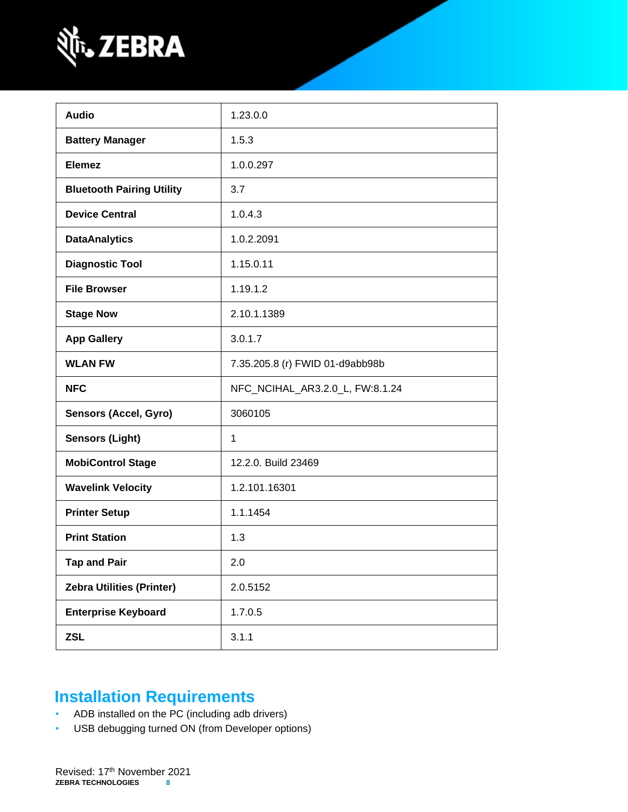

| <b>Audio</b>                     | 1.23.0.0                        |
|----------------------------------|---------------------------------|
| <b>Battery Manager</b>           | 1.5.3                           |
| <b>Elemez</b>                    | 1.0.0.297                       |
| <b>Bluetooth Pairing Utility</b> | 3.7                             |
| <b>Device Central</b>            | 1.0.4.3                         |
| <b>DataAnalytics</b>             | 1.0.2.2091                      |
| <b>Diagnostic Tool</b>           | 1.15.0.11                       |
| <b>File Browser</b>              | 1.19.1.2                        |
| <b>Stage Now</b>                 | 2.10.1.1389                     |
| <b>App Gallery</b>               | 3.0.1.7                         |
| <b>WLAN FW</b>                   | 7.35.205.8 (r) FWID 01-d9abb98b |
| <b>NFC</b>                       | NFC_NCIHAL_AR3.2.0_L, FW:8.1.24 |
| <b>Sensors (Accel, Gyro)</b>     | 3060105                         |
| <b>Sensors (Light)</b>           | 1                               |
| <b>MobiControl Stage</b>         | 12.2.0. Build 23469             |
| <b>Wavelink Velocity</b>         | 1.2.101.16301                   |
| <b>Printer Setup</b>             | 1.1.1454                        |
| <b>Print Station</b>             | 1.3                             |
| <b>Tap and Pair</b>              | 2.0                             |
| <b>Zebra Utilities (Printer)</b> | 2.0.5152                        |
| <b>Enterprise Keyboard</b>       | 1.7.0.5                         |
| <b>ZSL</b>                       | 3.1.1                           |
|                                  |                                 |

# **Installation Requirements**

- ADB installed on the PC (including adb drivers)
- USB debugging turned ON (from Developer options)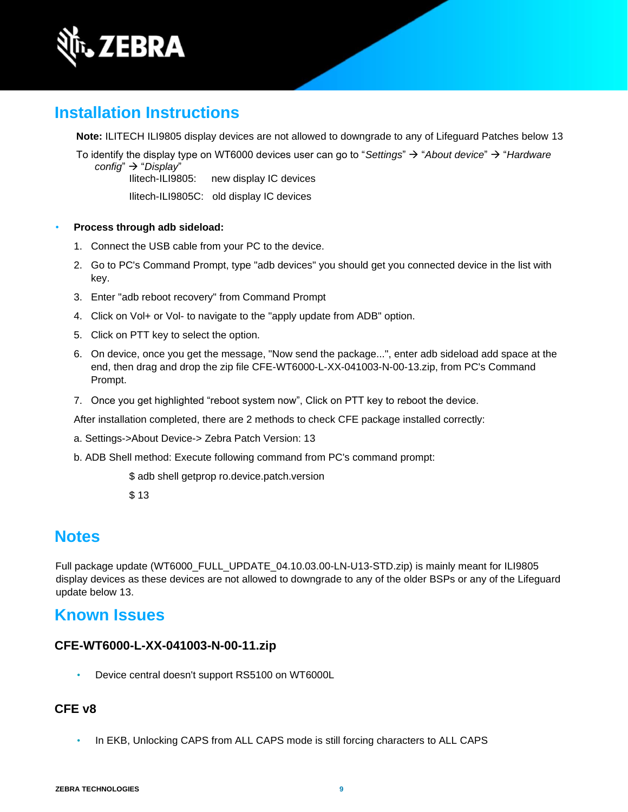

## **Installation Instructions**

**Note:** ILITECH ILI9805 display devices are not allowed to downgrade to any of Lifeguard Patches below 13

To identify the display type on WT6000 devices user can go to "*Settings*" → "*About device*" → "*Hardware config*" → "*Display*"

Ilitech-ILI9805: new display IC devices

Ilitech-ILI9805C: old display IC devices

- **Process through adb sideload:** 
	- 1. Connect the USB cable from your PC to the device.
	- 2. Go to PC's Command Prompt, type "adb devices" you should get you connected device in the list with key.
	- 3. Enter "adb reboot recovery" from Command Prompt
	- 4. Click on Vol+ or Vol- to navigate to the "apply update from ADB" option.
	- 5. Click on PTT key to select the option.
	- 6. On device, once you get the message, "Now send the package...", enter adb sideload add space at the end, then drag and drop the zip file CFE-WT6000-L-XX-041003-N-00-13.zip, from PC's Command Prompt.
	- 7. Once you get highlighted "reboot system now", Click on PTT key to reboot the device.

After installation completed, there are 2 methods to check CFE package installed correctly:

- a. Settings->About Device-> Zebra Patch Version: 13
- b. ADB Shell method: Execute following command from PC's command prompt:

\$ adb shell getprop ro.device.patch.version

\$ 13

## **Notes**

Full package update (WT6000\_FULL\_UPDATE\_04.10.03.00-LN-U13-STD.zip) is mainly meant for ILI9805 display devices as these devices are not allowed to downgrade to any of the older BSPs or any of the Lifeguard update below 13.

### **Known Issues**

#### **CFE-WT6000-L-XX-041003-N-00-11.zip**

• Device central doesn't support RS5100 on WT6000L

#### **CFE v8**

• In EKB, Unlocking CAPS from ALL CAPS mode is still forcing characters to ALL CAPS